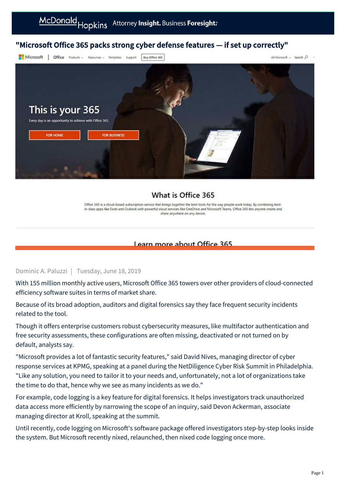# "Microsoft Office 365 packs strong cyber defense features — if set up correctly"



## What is Office 365

Office 365 is a cloud-based subscription service that brings together the best tools for the way people work today. By combining bestin-class apps like Excel and Outlook with powerful cloud services like OneDrive and Microsoft Teams, Office 365 lets anyone create and share anywhere on any device.

### Learn more about Office 365

#### Dominic A. Paluzzi | Tuesday, June 18, 2019

With 155 million [monthly active users](https://www.microsoft.com/en-us/Investor/earnings/FY-2019-Q1/press-release-webcast?ranMID=24542&ranEAID=nOD/rLJHOac&ranSiteID=nOD_rLJHOac-8JXc7pvjoVtNaMDEh_tYTQ&epi=nOD_rLJHOac-8JXc7pvjoVtNaMDEh_tYTQ&irgwc=1&OCID=AID681541_aff_7593_1243925&tduid=(ir__ejl13djf2skfritzkk0sohzn0m2xj2ipkt3ycdj000)(7593)(1243925)(nOD_rLJHOac-8JXc7pvjoVtNaMDEh_tYTQ)()&irclickid=_ejl13djf2skfritzkk0sohzn0m2xj2ipkt3ycdj000), Microsoft Office 365 towers over other providers of cloud-connected efficiency software suites in terms of market share.

Because of its broad adoption, auditors and digital forensics say they face frequent security incidents related to the tool.

Though it offers enterprise customers robust cybersecurity measures, like multifactor authentication and free security assessments, these configurations are often missing, deactivated or not turned on by default, analysts say.

"Microsoft provides a lot of fantastic security features," said David Nives, managing director of cyber response services at KPMG, speaking at a panel during the NetDiligence Cyber Risk Summit in Philadelphia. "Like any solution, you need to tailor it to your needs and, unfortunately, not a lot of organizations take the time to do that, hence why we see as many incidents as we do."

For example, code logging is a key feature for digital forensics. It helps investigators track unauthorized data access more efficiently by narrowing the scope of an inquiry, said Devon Ackerman, associate managing director at Kroll, speaking at the summit.

Until recently, code logging on Microsoft's software package offered investigators step-by-step looks inside the system. But Microsoft recently nixed, relaunched, then nixed code logging once more.